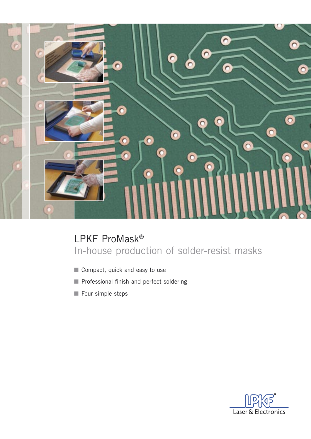

# LPKF ProMask® In-house production of solder-resist masks

- Compact, quick and easy to use
- Professional finish and perfect soldering
- Four simple steps

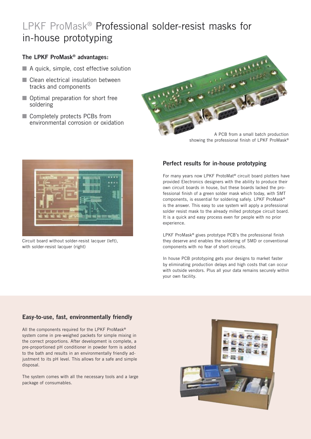# LPKF ProMask® Professional solder-resist masks for in-house prototyping

#### **The LPKF ProMask® advantages:**

- $\blacksquare$  A quick, simple, cost effective solution
- Clean electrical insulation between tracks and components
- Optimal preparation for short free soldering
- Completely protects PCBs from environmental corrosion or oxidation





Circuit board without solder-resist lacquer (left), with solder-resist lacquer (right)

### **Perfect results for in-house prototyping**

For many years now LPKF ProtoMat® circuit board plotters have provided Electronics designers with the ability to produce their own circuit boards in house, but these boards lacked the professional finish of a green solder mask which today, with SMT components, is essential for soldering safely. LPKF ProMask® is the answer. This easy to use system will apply a professional solder resist mask to the already milled prototype circuit board. It is a quick and easy process even for people with no prior experience.

LPKF ProMask® gives prototype PCB's the professional finish they deserve and enables the soldering of SMD or conventional components with no fear of short circuits.

In house PCB prototyping gets your designs to market faster by eliminating production delays and high costs that can occur with outside vendors. Plus all your data remains securely within your own facility.

### **Easy-to-use, fast, environmentally friendly**

All the components required for the LPKF ProMask® system come in pre-weighed packets for simple mixing in the correct proportions. After development is complete, a pre-proportioned pH conditioner in powder form is added to the bath and results in an environmentally friendly adjustment to its pH level. This allows for a safe and simple disposal.

The system comes with all the necessary tools and a large package of consumables.

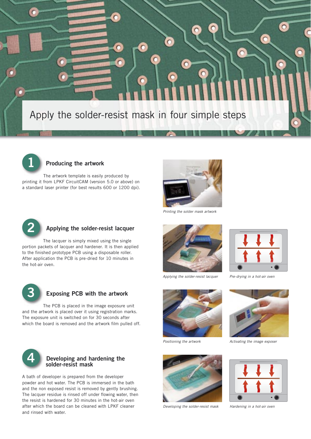

 $\circ$ 



#### **Producing the artwork**

The artwork template is easily produced by printing it from LPKF CircuitCAM (version 5.0 or above) on a standard laser printer (for best results 600 or 1200 dpi).



 $\bullet$ 

Printing the solder mask artwork



#### **Applying the solder-resist lacquer**

The lacquer is simply mixed using the single portion packets of lacquer and hardener. It is then applied to the finished prototype PCB using a disposable roller. After application the PCB is pre-dried for 10 minutes in the hot-air oven.



#### **Exposing PCB with the artwork**

The PCB is placed in the image exposure unit and the artwork is placed over it using registration marks. The exposure unit is switched on for 30 seconds after which the board is removed and the artwork film pulled off.



#### **4 Developing and hardening the solder-resist mask**

A bath of developer is prepared from the developer powder and hot water. The PCB is immersed in the bath and the non exposed resist is removed by gently brushing. The lacquer residue is rinsed off under flowing water, then the resist is hardened for 30 minutes in the hot-air oven after which the board can be cleaned with LPKF cleaner and rinsed with water.



Applying the solder-resist lacquer



 $\circ$ 

 $\sqrt{2}$ 

 $\Box$ 

Pre-drying in a hot-air oven



Positioning the artwork



Developing the solder-resist mask



Activating the image exposer



Hardening in a hot-air oven